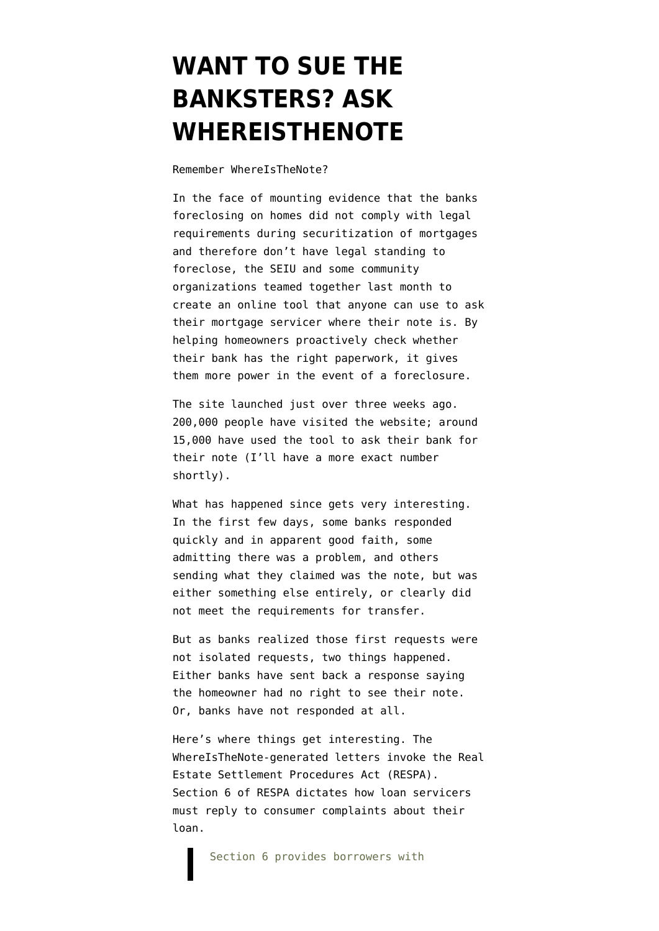## **[WANT TO SUE THE](https://www.emptywheel.net/2010/11/03/whereisthenote-becomes-whereistherespa-response/) [BANKSTERS? ASK](https://www.emptywheel.net/2010/11/03/whereisthenote-becomes-whereistherespa-response/) [WHEREISTHENOTE](https://www.emptywheel.net/2010/11/03/whereisthenote-becomes-whereistherespa-response/)**

Remember [WhereIsTheNote?](http://action.seiu.org/page/speakout/wheresthenote)

In the face of mounting evidence that the banks foreclosing on homes did not comply with legal requirements during securitization of mortgages and therefore don't have legal standing to foreclose, the SEIU and some community organizations [teamed together](http://www.huffingtonpost.com/2010/10/12/seiu-launches-wheres-the-_n_759965.html) last month to create an online tool that anyone can use to ask their mortgage servicer where their note is. By helping homeowners proactively check whether their bank has the right paperwork, it gives them more power in the event of a foreclosure.

The site launched just over three weeks ago. 200,000 people have visited the website; around 15,000 have used the tool to ask their bank for their note (I'll have a more exact number shortly).

What has happened since gets very interesting. In the first few days, some banks responded quickly and in apparent good faith, some admitting there was a problem, and others sending what they claimed was the note, but was either something else entirely, or clearly did not meet the requirements for transfer.

But as banks realized those first requests were not isolated requests, two things happened. Either banks have sent back a response saying the homeowner had no right to see their note. Or, banks have not responded at all.

Here's where things get interesting. The WhereIsTheNote-generated letters invoke the Real Estate Settlement Procedures Act (RESPA). Section 6 of RESPA [dictates](http://www.hud.gov/offices/hsg/ramh/res/respamor.cfm) how loan servicers must reply to consumer complaints about their loan.

Section 6 provides borrowers with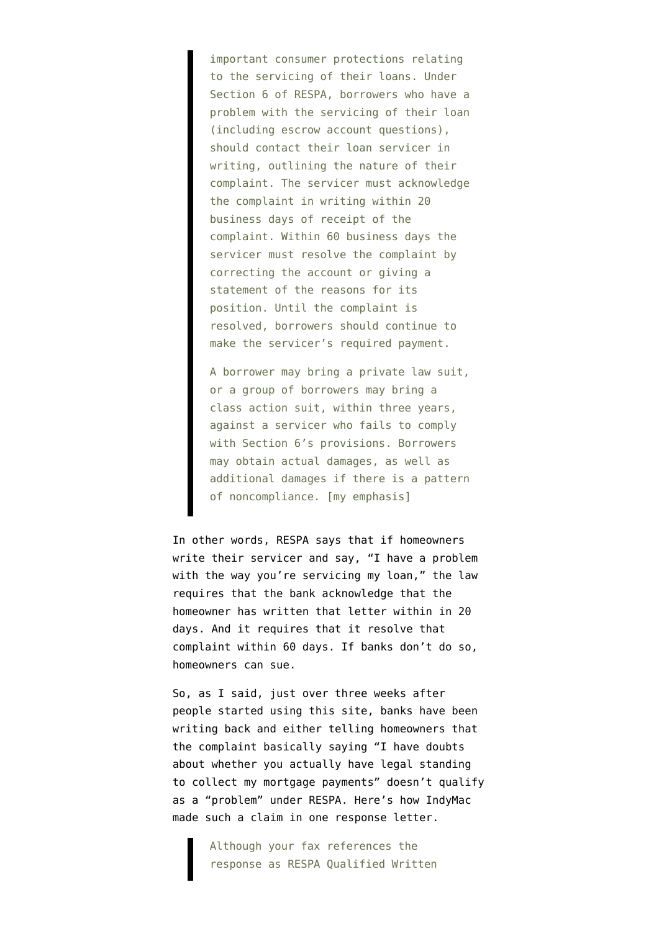important consumer protections relating to the servicing of their loans. Under Section 6 of RESPA, borrowers who have a problem with the servicing of their loan (including escrow account questions), should contact their loan servicer in writing, outlining the nature of their complaint. The servicer must acknowledge the complaint in writing within 20 business days of receipt of the complaint. Within 60 business days the servicer must resolve the complaint by correcting the account or giving a statement of the reasons for its position. Until the complaint is resolved, borrowers should continue to make the servicer's required payment.

A borrower may bring a private law suit, or a group of borrowers may bring a class action suit, within three years, against a servicer who fails to comply with Section 6's provisions. Borrowers may obtain actual damages, as well as additional damages if there is a pattern of noncompliance. [my emphasis]

In other words, RESPA says that if homeowners write their servicer and say, "I have a problem with the way you're servicing my loan," the law requires that the bank acknowledge that the homeowner has written that letter within in 20 days. And it requires that it resolve that complaint within 60 days. If banks don't do so, homeowners can sue.

So, as I said, just over three weeks after people started using this site, banks have been writing back and either telling homeowners that the complaint basically saying "I have doubts about whether you actually have legal standing to collect my mortgage payments" doesn't qualify as a "problem" under RESPA. Here's how IndyMac made such a claim in one response letter.

> Although your fax references the response as RESPA Qualified Written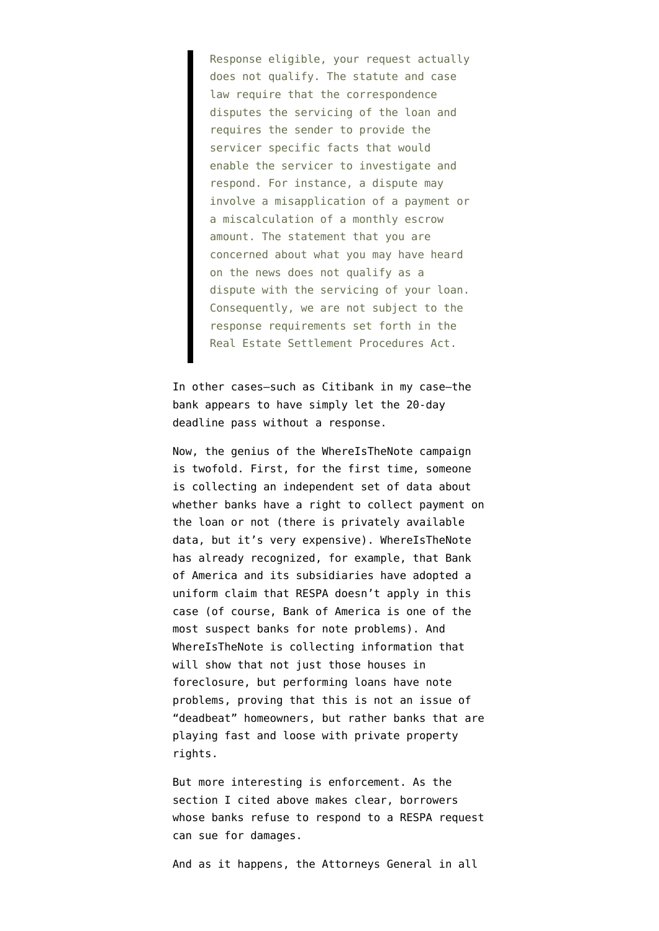Response eligible, your request actually does not qualify. The statute and case law require that the correspondence disputes the servicing of the loan and requires the sender to provide the servicer specific facts that would enable the servicer to investigate and respond. For instance, a dispute may involve a misapplication of a payment or a miscalculation of a monthly escrow amount. The statement that you are concerned about what you may have heard on the news does not qualify as a dispute with the servicing of your loan. Consequently, we are not subject to the response requirements set forth in the Real Estate Settlement Procedures Act.

In other cases–such as Citibank in my case–the bank appears to have simply let the 20-day deadline pass without a response.

Now, the genius of the WhereIsTheNote campaign is twofold. First, for the first time, someone is collecting an independent set of data about whether banks have a right to collect payment on the loan or not (there is privately available data, but it's very expensive). WhereIsTheNote has already recognized, for example, that Bank of America and its subsidiaries have adopted a uniform claim that RESPA doesn't apply in this case (of course, Bank of America is one of the most suspect banks for note problems). And WhereIsTheNote is collecting information that will show that not just those houses in foreclosure, but performing loans have note problems, proving that this is not an issue of "deadbeat" homeowners, but rather banks that are playing fast and loose with private property rights.

But more interesting is enforcement. As the section I cited above makes clear, borrowers whose banks refuse to respond to a RESPA request can sue for damages.

And as it happens, the Attorneys General in all